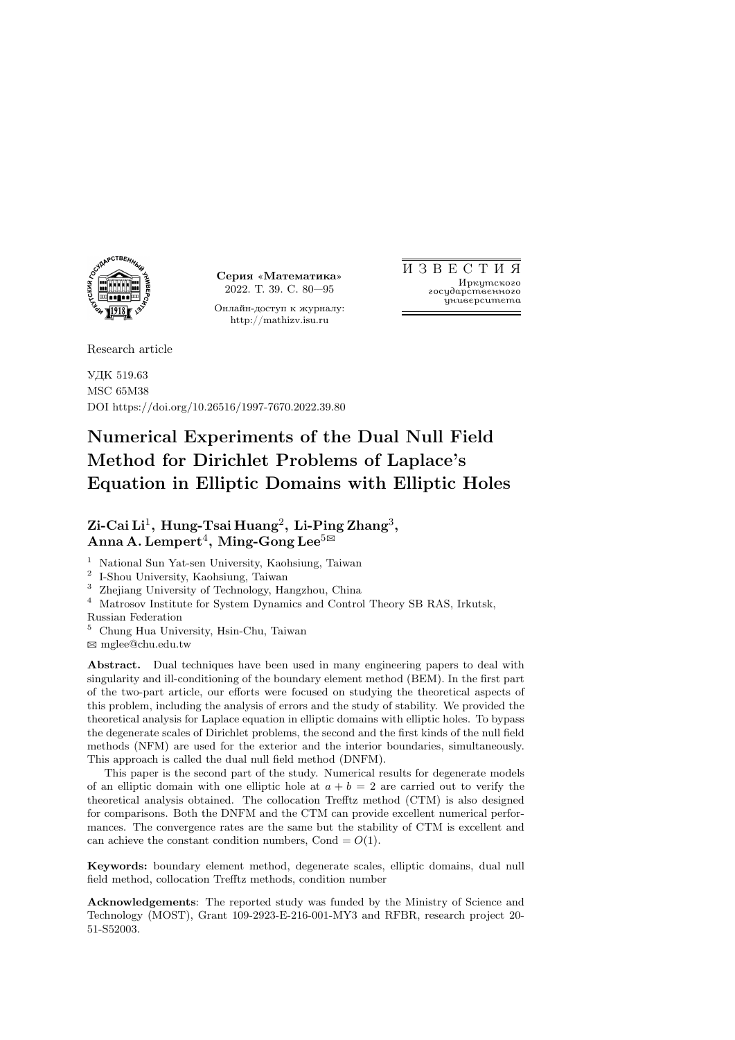

Серия «Математика» 2022. Т. 39. С. 80—95

Онлайн-доступ к журналу: http://mathizv.isu.ru

И З В Е С Т И Я Иркутского государственного университета

Research article

УДК 519.63 MSC 65M38 DOI https://doi.org/10.26516/1997-7670.2022.39.80

# Numerical Experiments of the Dual Null Field Method for Dirichlet Problems of Laplace's Equation in Elliptic Domains with Elliptic Holes

# $Z$ i-Cai Li $^1$ , Hung-Tsai Huang $^2$ , Li-Ping Zhang $^3$ ,  $\rm{Anna~A. Lempert}^4,~Ming-Gong Lee^{5/3}$

<sup>1</sup> National Sun Yat-sen University, Kaohsiung, Taiwan

2 I-Shou University, Kaohsiung, Taiwan

<sup>3</sup> Zhejiang University of Technology, Hangzhou, China

<sup>4</sup> Matrosov Institute for System Dynamics and Control Theory SB RAS, Irkutsk, Russian Federation

<sup>5</sup> Chung Hua University, Hsin-Chu, Taiwan

B mglee@chu.edu.tw

Abstract. Dual techniques have been used in many engineering papers to deal with singularity and ill-conditioning of the boundary element method (BEM). In the first part of the two-part article, our efforts were focused on studying the theoretical aspects of this problem, including the analysis of errors and the study of stability. We provided the theoretical analysis for Laplace equation in elliptic domains with elliptic holes. To bypass the degenerate scales of Dirichlet problems, the second and the first kinds of the null field methods (NFM) are used for the exterior and the interior boundaries, simultaneously. This approach is called the dual null field method (DNFM).

This paper is the second part of the study. Numerical results for degenerate models of an elliptic domain with one elliptic hole at  $a + b = 2$  are carried out to verify the theoretical analysis obtained. The collocation Trefftz method (CTM) is also designed for comparisons. Both the DNFM and the CTM can provide excellent numerical performances. The convergence rates are the same but the stability of CTM is excellent and can achieve the constant condition numbers, Cond =  $O(1)$ .

Keywords: boundary element method, degenerate scales, elliptic domains, dual null field method, collocation Trefftz methods, condition number

Acknowledgements: The reported study was funded by the Ministry of Science and Technology (MOST), Grant 109-2923-E-216-001-MY3 and RFBR, research project 20- 51-S52003.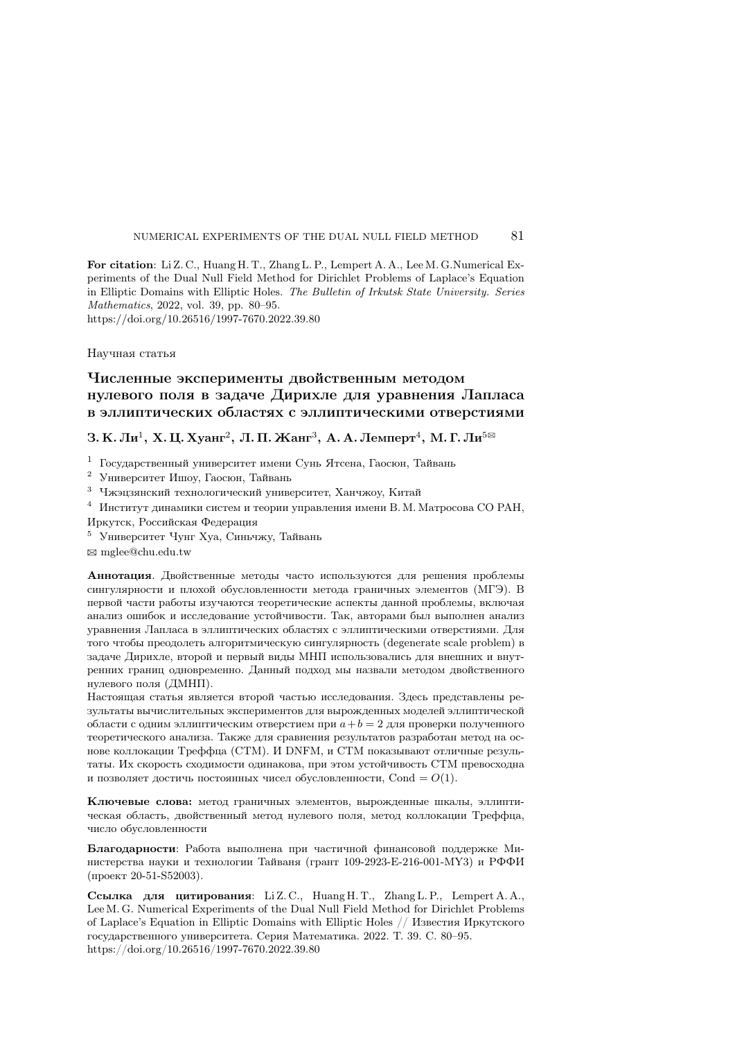For citation: Li Z. C., Huang H. T., Zhang L. P., Lempert A. A., Lee M. G.Numerical Experiments of the Dual Null Field Method for Dirichlet Problems of Laplace's Equation in Elliptic Domains with Elliptic Holes. The Bulletin of Irkutsk State University. Series Mathematics, 2022, vol. 39, pp. 80–95. https://doi.org/10.26516/1997-7670.2022.39.80

Научная статья

# Численные эксперименты двойственным методом нулевого поля в задаче Дирихле для уравнения Лапласа в эллиптических областях с эллиптическими отверстиями

З. К. Ли $^1$ , Х. Ц. Хуанг $^2$ , Л. П. Жанг $^3$ , А. А. Лемперт $^4$ , М. Г. Ли $^{5\boxtimes}$ 

 $^1\,$ Государственный университет имени Сунь Ятсена, Гаосюн, Тайвань

<sup>2</sup> Университет Ишоу, Гаосюн, Тайвань

<sup>3</sup> Чжэцзянский технологический университет, Ханчжоу, Китай

<sup>4</sup> Институт динамики систем и теории управления имени В. М. Матросова СО РАН, Иркутск, Российская Федерация

<sup>5</sup> Университет Чунг Хуа, Синьчжу, Тайвань

B mglee@chu.edu.tw

Аннотация. Двойственные методы часто используются для решения проблемы сингулярности и плохой обусловленности метода граничных элементов (МГЭ). В первой части работы изучаются теоретические аспекты данной проблемы, включая анализ ошибок и исследование устойчивости. Так, авторами был выполнен анализ уравнения Лапласа в эллиптических областях с эллиптическими отверстиями. Для того чтобы преодолеть алгоритмическую сингулярность (degenerate scale problem) в задаче Дирихле, второй и первый виды МНП использовались для внешних и внутренних границ одновременно. Данный подход мы назвали методом двойственного нулевого поля (ДМНП).

Настоящая статья является второй частью исследования. Здесь представлены результаты вычислительных экспериментов для вырожденных моделей эллиптической области с одним эллиптическим отверстием при  $a + b = 2$  для проверки полученного теоретического анализа. Также для сравнения результатов разработан метод на основе коллокации Треффца (CTM). И DNFM, и CTM показывают отличные результаты. Их скорость сходимости одинакова, при этом устойчивость CTM превосходна и позволяет достичь постоянных чисел обусловленности, Cond =  $O(1)$ .

Ключевые слова: метод граничных элементов, вырожденные шкалы, эллиптическая область, двойственный метод нулевого поля, метод коллокации Треффца, число обусловленности

Благодарности: Работа выполнена при частичной финансовой поддержке Министерства науки и технологии Тайваня (грант 109-2923-E-216-001-MY3) и РФФИ (проект 20-51-S52003).

Ссылка для цитирования: Li Z.C., Huang H.T., Zhang L.P., Lempert A.A., Lee M. G. Numerical Experiments of the Dual Null Field Method for Dirichlet Problems of Laplace's Equation in Elliptic Domains with Elliptic Holes // Известия Иркутского государственного университета. Серия Математика. 2022. Т. 39. C. 80–95. https://doi.org/10.26516/1997-7670.2022.39.80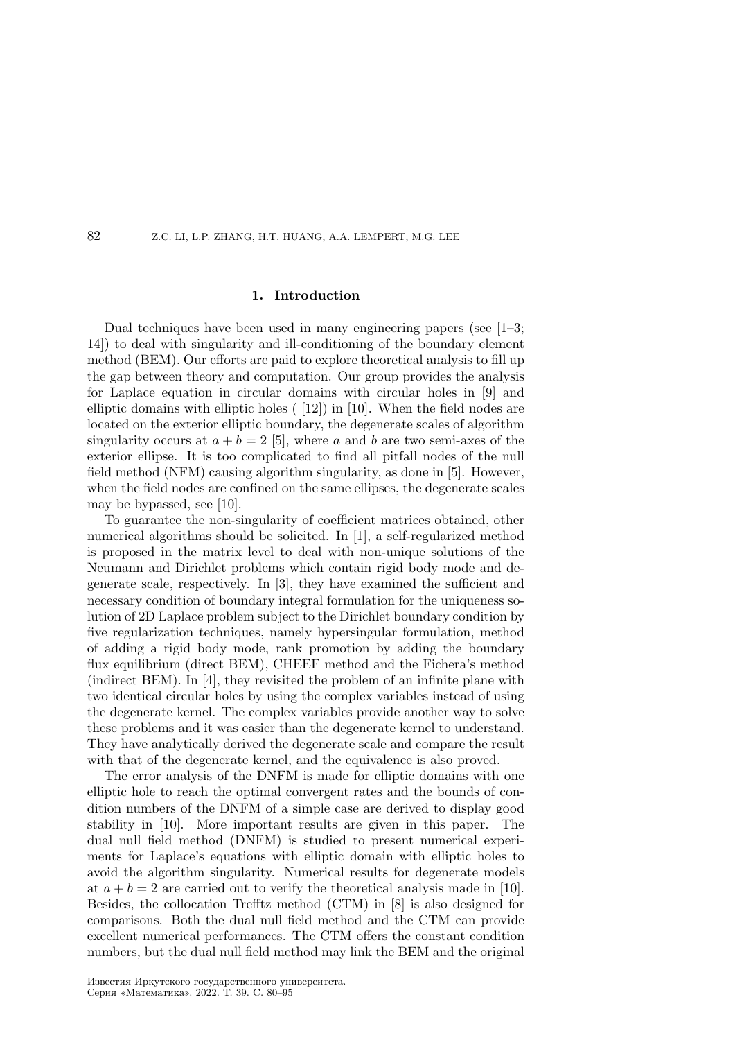#### 1. Introduction

Dual techniques have been used in many engineering papers (see [1–3; 14]) to deal with singularity and ill-conditioning of the boundary element method (BEM). Our efforts are paid to explore theoretical analysis to fill up the gap between theory and computation. Our group provides the analysis for Laplace equation in circular domains with circular holes in [9] and elliptic domains with elliptic holes ( [12]) in [10]. When the field nodes are located on the exterior elliptic boundary, the degenerate scales of algorithm singularity occurs at  $a + b = 2$  [5], where a and b are two semi-axes of the exterior ellipse. It is too complicated to find all pitfall nodes of the null field method (NFM) causing algorithm singularity, as done in [5]. However, when the field nodes are confined on the same ellipses, the degenerate scales may be bypassed, see [10].

To guarantee the non-singularity of coefficient matrices obtained, other numerical algorithms should be solicited. In [1], a self-regularized method is proposed in the matrix level to deal with non-unique solutions of the Neumann and Dirichlet problems which contain rigid body mode and degenerate scale, respectively. In [3], they have examined the sufficient and necessary condition of boundary integral formulation for the uniqueness solution of 2D Laplace problem subject to the Dirichlet boundary condition by five regularization techniques, namely hypersingular formulation, method of adding a rigid body mode, rank promotion by adding the boundary flux equilibrium (direct BEM), CHEEF method and the Fichera's method (indirect BEM). In [4], they revisited the problem of an infinite plane with two identical circular holes by using the complex variables instead of using the degenerate kernel. The complex variables provide another way to solve these problems and it was easier than the degenerate kernel to understand. They have analytically derived the degenerate scale and compare the result with that of the degenerate kernel, and the equivalence is also proved.

The error analysis of the DNFM is made for elliptic domains with one elliptic hole to reach the optimal convergent rates and the bounds of condition numbers of the DNFM of a simple case are derived to display good stability in [10]. More important results are given in this paper. The dual null field method (DNFM) is studied to present numerical experiments for Laplace's equations with elliptic domain with elliptic holes to avoid the algorithm singularity. Numerical results for degenerate models at  $a + b = 2$  are carried out to verify the theoretical analysis made in [10]. Besides, the collocation Trefftz method (CTM) in [8] is also designed for comparisons. Both the dual null field method and the CTM can provide excellent numerical performances. The CTM offers the constant condition numbers, but the dual null field method may link the BEM and the original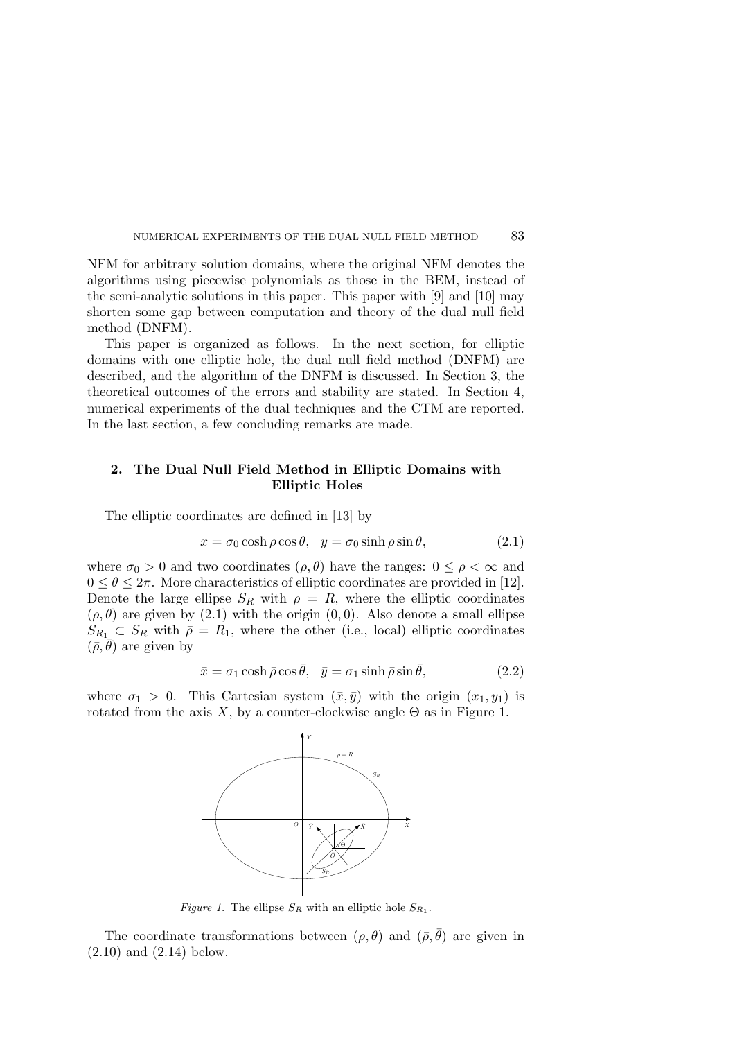NFM for arbitrary solution domains, where the original NFM denotes the algorithms using piecewise polynomials as those in the BEM, instead of the semi-analytic solutions in this paper. This paper with [9] and [10] may shorten some gap between computation and theory of the dual null field method (DNFM).

This paper is organized as follows. In the next section, for elliptic domains with one elliptic hole, the dual null field method (DNFM) are described, and the algorithm of the DNFM is discussed. In Section 3, the theoretical outcomes of the errors and stability are stated. In Section 4, numerical experiments of the dual techniques and the CTM are reported. In the last section, a few concluding remarks are made.

# 2. The Dual Null Field Method in Elliptic Domains with Elliptic Holes

The elliptic coordinates are defined in [13] by

$$
x = \sigma_0 \cosh \rho \cos \theta, \quad y = \sigma_0 \sinh \rho \sin \theta,\tag{2.1}
$$

where  $\sigma_0 > 0$  and two coordinates  $(\rho, \theta)$  have the ranges:  $0 \leq \rho < \infty$  and  $0 \leq \theta \leq 2\pi$ . More characteristics of elliptic coordinates are provided in [12]. Denote the large ellipse  $S_R$  with  $\rho = R$ , where the elliptic coordinates  $(\rho, \theta)$  are given by (2.1) with the origin  $(0, 0)$ . Also denote a small ellipse  $S_{R_1} \subset S_R$  with  $\bar{\rho} = R_1$ , where the other (i.e., local) elliptic coordinates  $(\bar{\rho}, \theta)$  are given by

$$
\bar{x} = \sigma_1 \cosh \bar{\rho} \cos \bar{\theta}, \quad \bar{y} = \sigma_1 \sinh \bar{\rho} \sin \bar{\theta}, \tag{2.2}
$$

where  $\sigma_1 > 0$ . This Cartesian system  $(\bar{x}, \bar{y})$  with the origin  $(x_1, y_1)$  is rotated from the axis X, by a counter-clockwise angle  $\Theta$  as in Figure 1.



Figure 1. The ellipse  $S_R$  with an elliptic hole  $S_{R_1}$ .

The coordinate transformations between  $(\rho, \theta)$  and  $(\bar{\rho}, \theta)$  are given in  $(2.10)$  and  $(2.14)$  below.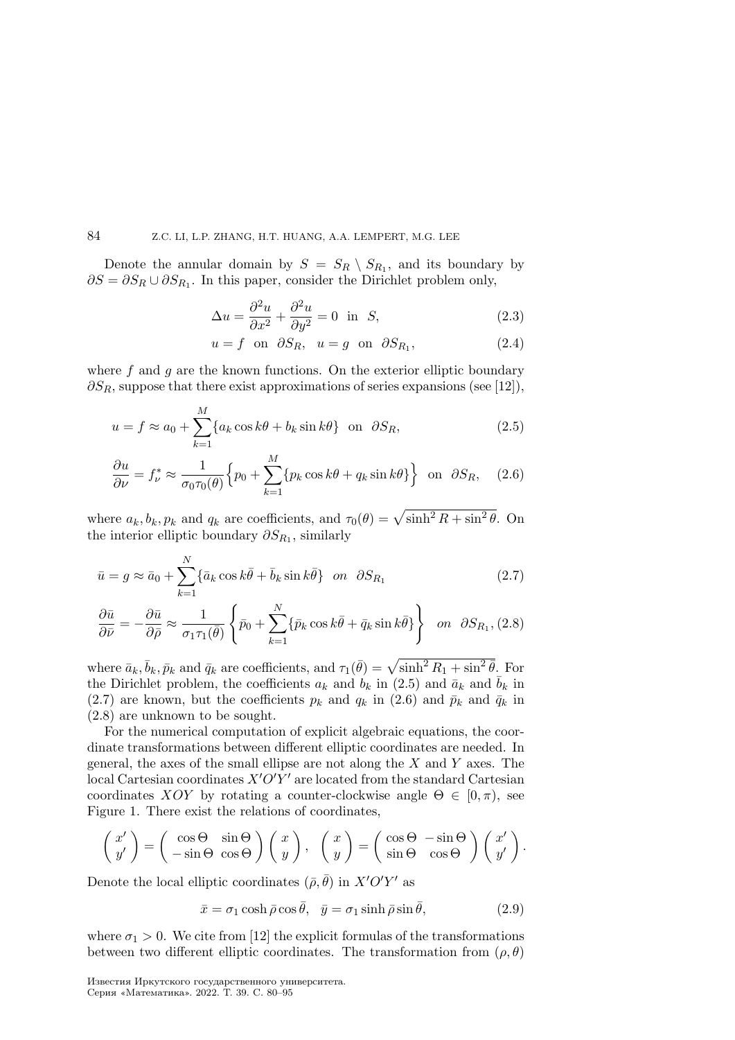Denote the annular domain by  $S = S_R \setminus S_{R_1}$ , and its boundary by  $\partial S = \partial S_R \cup \partial S_{R_1}$ . In this paper, consider the Dirichlet problem only,

$$
\Delta u = \frac{\partial^2 u}{\partial x^2} + \frac{\partial^2 u}{\partial y^2} = 0 \text{ in } S,
$$
\n(2.3)

$$
u = f \quad \text{on} \quad \partial S_R, \quad u = g \quad \text{on} \quad \partial S_{R_1}, \tag{2.4}
$$

where  $f$  and  $g$  are the known functions. On the exterior elliptic boundary  $\partial S_R$ , suppose that there exist approximations of series expansions (see [12]),

$$
u = f \approx a_0 + \sum_{k=1}^{M} \{a_k \cos k\theta + b_k \sin k\theta\} \quad \text{on} \quad \partial S_R,
$$
 (2.5)

$$
\frac{\partial u}{\partial \nu} = f_{\nu}^* \approx \frac{1}{\sigma_0 \tau_0(\theta)} \Big\{ p_0 + \sum_{k=1}^M \{ p_k \cos k\theta + q_k \sin k\theta \} \Big\} \text{ on } \partial S_R, \quad (2.6)
$$

where  $a_k, b_k, p_k$  and  $q_k$  are coefficients, and  $\tau_0(\theta) = \sqrt{\sinh^2 R + \sin^2 \theta}$ . On the interior elliptic boundary  $\partial S_{R_1}$ , similarly

$$
\bar{u} = g \approx \bar{a}_0 + \sum_{k=1}^{N} \{ \bar{a}_k \cos k\bar{\theta} + \bar{b}_k \sin k\bar{\theta} \} \quad on \quad \partial S_{R_1}
$$
\n(2.7)

$$
\frac{\partial \bar{u}}{\partial \bar{\nu}} = -\frac{\partial \bar{u}}{\partial \bar{\rho}} \approx \frac{1}{\sigma_1 \tau_1(\bar{\theta})} \left\{ \bar{p}_0 + \sum_{k=1}^N \{ \bar{p}_k \cos k\bar{\theta} + \bar{q}_k \sin k\bar{\theta} \} \right\} \quad on \quad \partial S_{R_1}, (2.8)
$$

where  $\bar{a}_k, \bar{b}_k, \bar{p}_k$  and  $\bar{q}_k$  are coefficients, and  $\tau_1(\bar{\theta}) = \sqrt{\sinh^2 R_1 + \sin^2 \bar{\theta}}$ . For the Dirichlet problem, the coefficients  $a_k$  and  $b_k$  in (2.5) and  $\bar{a}_k$  and  $b_k$  in (2.7) are known, but the coefficients  $p_k$  and  $q_k$  in (2.6) and  $\bar{p}_k$  and  $\bar{q}_k$  in (2.8) are unknown to be sought.

For the numerical computation of explicit algebraic equations, the coordinate transformations between different elliptic coordinates are needed. In general, the axes of the small ellipse are not along the  $X$  and  $Y$  axes. The local Cartesian coordinates  $X'O'Y'$  are located from the standard Cartesian coordinates  $XOY$  by rotating a counter-clockwise angle  $\Theta \in [0, \pi)$ , see Figure 1. There exist the relations of coordinates,

$$
\begin{pmatrix} x' \\ y' \end{pmatrix} = \begin{pmatrix} \cos \Theta & \sin \Theta \\ -\sin \Theta & \cos \Theta \end{pmatrix} \begin{pmatrix} x \\ y \end{pmatrix}, \quad \begin{pmatrix} x \\ y \end{pmatrix} = \begin{pmatrix} \cos \Theta & -\sin \Theta \\ \sin \Theta & \cos \Theta \end{pmatrix} \begin{pmatrix} x' \\ y' \end{pmatrix}.
$$

Denote the local elliptic coordinates  $(\bar{\rho}, \bar{\theta})$  in  $X'O'Y'$  as

$$
\bar{x} = \sigma_1 \cosh \bar{\rho} \cos \bar{\theta}, \quad \bar{y} = \sigma_1 \sinh \bar{\rho} \sin \bar{\theta}, \tag{2.9}
$$

where  $\sigma_1 > 0$ . We cite from [12] the explicit formulas of the transformations between two different elliptic coordinates. The transformation from  $(\rho, \theta)$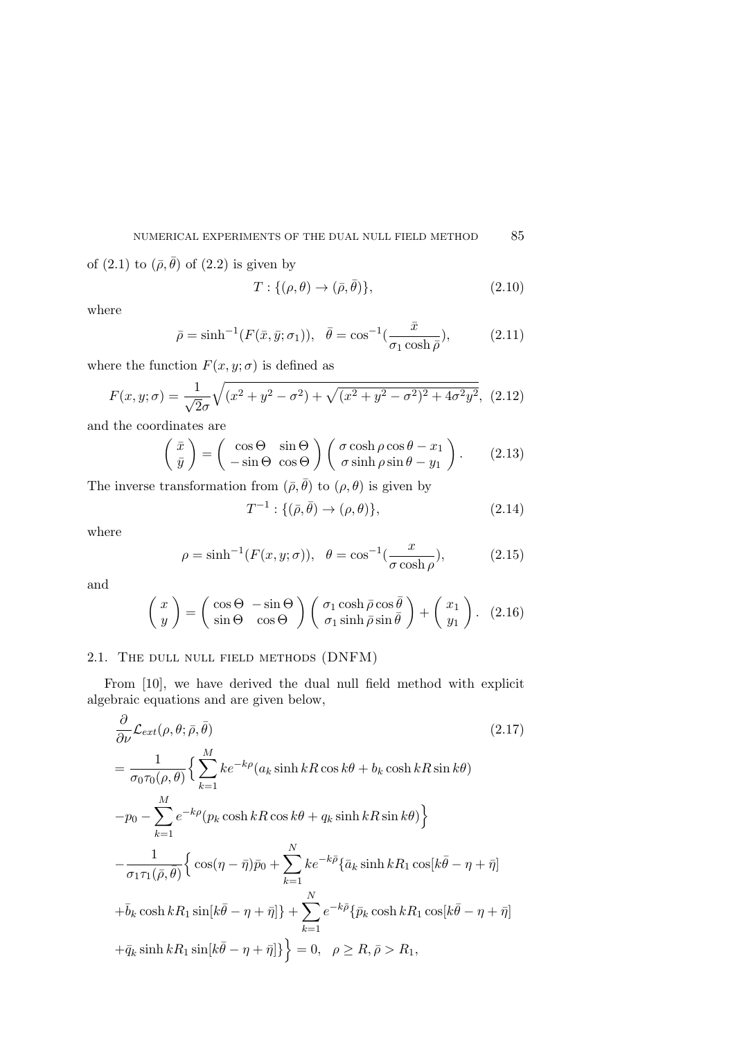of (2.1) to  $(\bar{\rho}, \bar{\theta})$  of (2.2) is given by

$$
T: \{(\rho, \theta) \to (\bar{\rho}, \bar{\theta})\},\tag{2.10}
$$

where

$$
\bar{\rho} = \sinh^{-1}(F(\bar{x}, \bar{y}; \sigma_1)), \quad \bar{\theta} = \cos^{-1}(\frac{\bar{x}}{\sigma_1 \cosh \bar{\rho}}), \quad (2.11)
$$

where the function  $F(x, y; \sigma)$  is defined as

$$
F(x, y; \sigma) = \frac{1}{\sqrt{2}\sigma} \sqrt{(x^2 + y^2 - \sigma^2) + \sqrt{(x^2 + y^2 - \sigma^2)^2 + 4\sigma^2 y^2}},
$$
 (2.12)

and the coordinates are

$$
\begin{pmatrix} \bar{x} \\ \bar{y} \end{pmatrix} = \begin{pmatrix} \cos \Theta & \sin \Theta \\ -\sin \Theta & \cos \Theta \end{pmatrix} \begin{pmatrix} \sigma \cosh \rho \cos \theta - x_1 \\ \sigma \sinh \rho \sin \theta - y_1 \end{pmatrix}.
$$
 (2.13)

The inverse transformation from  $(\bar{\rho}, \bar{\theta})$  to  $(\rho, \theta)$  is given by

 $T^{-1}: \{(\bar{\rho}, \bar{\theta}) \to (\rho, \theta)\},$  (2.14)

where

$$
\rho = \sinh^{-1}(F(x, y; \sigma)), \quad \theta = \cos^{-1}(\frac{x}{\sigma \cosh \rho}), \quad (2.15)
$$

and

$$
\begin{pmatrix} x \\ y \end{pmatrix} = \begin{pmatrix} \cos \Theta & -\sin \Theta \\ \sin \Theta & \cos \Theta \end{pmatrix} \begin{pmatrix} \sigma_1 \cosh \bar{\rho} \cos \bar{\theta} \\ \sigma_1 \sinh \bar{\rho} \sin \bar{\theta} \end{pmatrix} + \begin{pmatrix} x_1 \\ y_1 \end{pmatrix}.
$$
 (2.16)

# 2.1. The dull null field methods (DNFM)

From [10], we have derived the dual null field method with explicit algebraic equations and are given below,

$$
\frac{\partial}{\partial \nu} \mathcal{L}_{ext}(\rho, \theta; \bar{\rho}, \bar{\theta}) \tag{2.17}
$$
\n
$$
= \frac{1}{\sigma_0 \tau_0(\rho, \theta)} \Big\{ \sum_{k=1}^{M} k e^{-k\rho} (a_k \sinh kR \cos k\theta + b_k \cosh kR \sin k\theta) -p_0 - \sum_{k=1}^{M} e^{-k\rho} (p_k \cosh kR \cos k\theta + q_k \sinh kR \sin k\theta) \Big\}
$$
\n
$$
- \frac{1}{\sigma_1 \tau_1(\bar{\rho}, \bar{\theta})} \Big\{ \cos(\eta - \bar{\eta}) \bar{p}_0 + \sum_{k=1}^{N} k e^{-k\bar{\rho}} \{\bar{a}_k \sinh kR_1 \cos[k\bar{\theta} - \eta + \bar{\eta}] + \bar{b}_k \cosh kR_1 \sin[k\bar{\theta} - \eta + \bar{\eta}] \Big\} + \sum_{k=1}^{N} e^{-k\bar{\rho}} \{\bar{p}_k \cosh kR_1 \cos[k\bar{\theta} - \eta + \bar{\eta}] \Big\}
$$
\n
$$
+ \bar{q}_k \sinh kR_1 \sin[k\bar{\theta} - \eta + \bar{\eta}] \Big\} = 0, \quad \rho \ge R, \bar{\rho} > R_1,
$$
\n(2.17)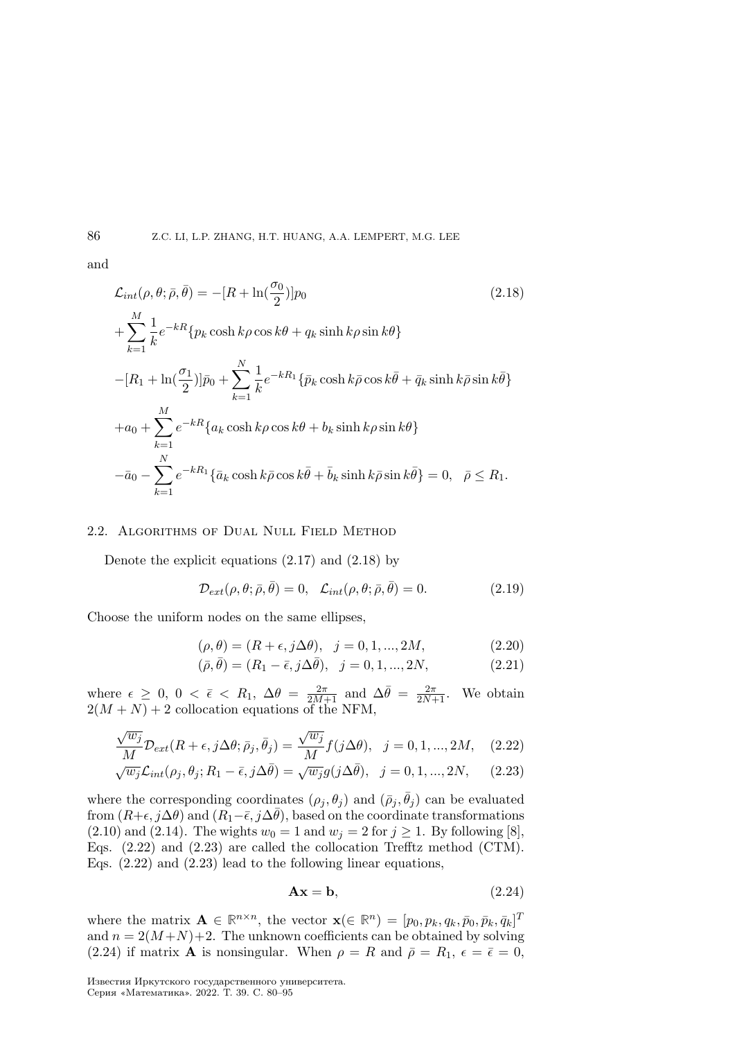and

$$
\mathcal{L}_{int}(\rho, \theta; \bar{\rho}, \bar{\theta}) = -[R + \ln(\frac{\sigma_0}{2})]p_0
$$
\n
$$
+ \sum_{k=1}^{M} \frac{1}{k} e^{-kR} \{p_k \cosh k\rho \cos k\theta + q_k \sinh k\rho \sin k\theta\}
$$
\n
$$
-[R_1 + \ln(\frac{\sigma_1}{2})]\bar{p}_0 + \sum_{k=1}^{N} \frac{1}{k} e^{-kR_1} \{\bar{p}_k \cosh k\bar{\rho} \cos k\bar{\theta} + \bar{q}_k \sinh k\bar{\rho} \sin k\bar{\theta}\}
$$
\n
$$
+ a_0 + \sum_{k=1}^{M} e^{-kR} \{a_k \cosh k\rho \cos k\theta + b_k \sinh k\rho \sin k\theta\}
$$
\n
$$
- \bar{a}_0 - \sum_{k=1}^{N} e^{-kR_1} \{\bar{a}_k \cosh k\bar{\rho} \cos k\bar{\theta} + \bar{b}_k \sinh k\bar{\rho} \sin k\bar{\theta}\} = 0, \quad \bar{\rho} \le R_1.
$$
\n(2.18)

# 2.2. Algorithms of Dual Null Field Method

Denote the explicit equations (2.17) and (2.18) by

$$
\mathcal{D}_{ext}(\rho, \theta; \bar{\rho}, \bar{\theta}) = 0, \quad \mathcal{L}_{int}(\rho, \theta; \bar{\rho}, \bar{\theta}) = 0.
$$
 (2.19)

Choose the uniform nodes on the same ellipses,

$$
(\rho, \theta) = (R + \epsilon, j\Delta\theta), \ \ j = 0, 1, ..., 2M,
$$
\n(2.20)

$$
(\bar{\rho}, \bar{\theta}) = (R_1 - \bar{\epsilon}, j\Delta\bar{\theta}), \quad j = 0, 1, ..., 2N,
$$
\n(2.21)

where  $\epsilon \geq 0$ ,  $0 < \bar{\epsilon} < R_1$ ,  $\Delta \theta = \frac{2\pi}{2M+1}$  and  $\Delta \bar{\theta} = \frac{2\pi}{2N+1}$ . We obtain  $2(M + N) + 2$  collocation equations of the NFM,

$$
\frac{\sqrt{w_j}}{M} \mathcal{D}_{ext}(R+\epsilon, j\Delta\theta; \bar{\rho}_j, \bar{\theta}_j) = \frac{\sqrt{w_j}}{M} f(j\Delta\theta), \quad j = 0, 1, ..., 2M, \quad (2.22)
$$

$$
\sqrt{w_j}\mathcal{L}_{int}(\rho_j, \theta_j; R_1 - \bar{\epsilon}, j\Delta\bar{\theta}) = \sqrt{w_j}g(j\Delta\bar{\theta}), \quad j = 0, 1, ..., 2N, \quad (2.23)
$$

where the corresponding coordinates  $(\rho_j, \theta_j)$  and  $(\bar{\rho}_j, \bar{\theta}_j)$  can be evaluated from  $(R+\epsilon, j\Delta\theta)$  and  $(R_1-\bar{\epsilon}, j\Delta\bar{\theta})$ , based on the coordinate transformations (2.10) and (2.14). The wights  $w_0 = 1$  and  $w_j = 2$  for  $j \ge 1$ . By following [8], Eqs. (2.22) and (2.23) are called the collocation Trefftz method (CTM). Eqs. (2.22) and (2.23) lead to the following linear equations,

$$
Ax = b,\t(2.24)
$$

where the matrix  $\mathbf{A} \in \mathbb{R}^{n \times n}$ , the vector  $\mathbf{x} \in \mathbb{R}^n$  =  $[p_0, p_k, q_k, \bar{p}_0, \bar{p}_k, \bar{q}_k]^T$ and  $n = 2(M+N)+2$ . The unknown coefficients can be obtained by solving (2.24) if matrix **A** is nonsingular. When  $\rho = R$  and  $\bar{\rho} = R_1$ ,  $\epsilon = \bar{\epsilon} = 0$ ,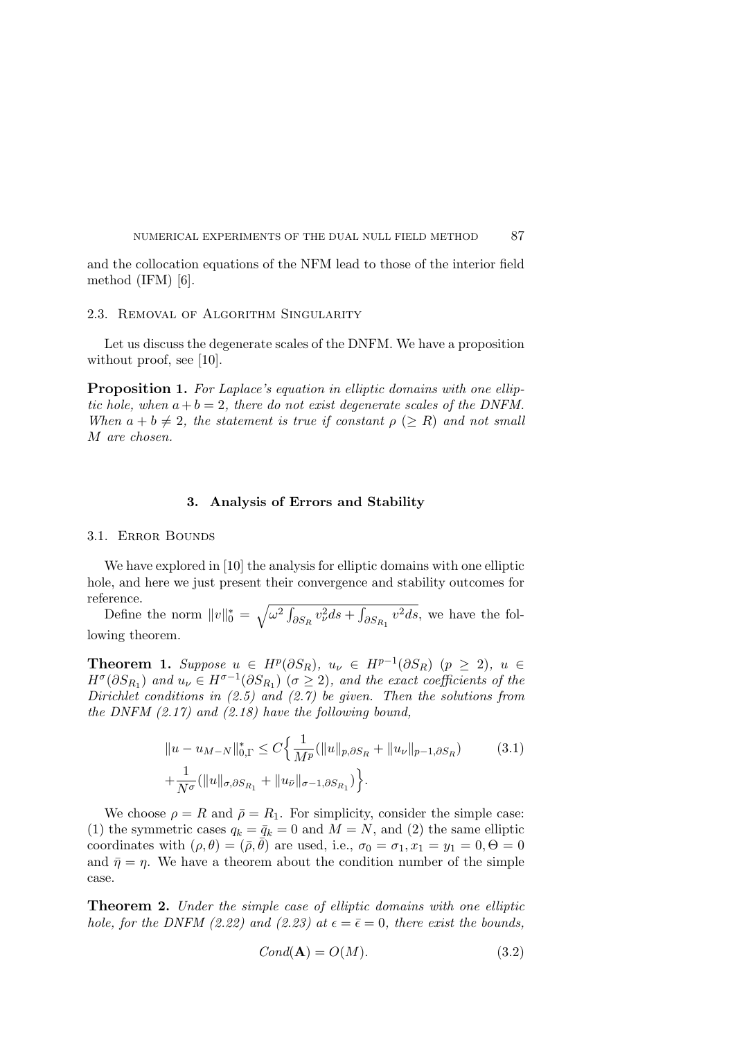and the collocation equations of the NFM lead to those of the interior field method (IFM) [6].

#### 2.3. Removal of Algorithm Singularity

Let us discuss the degenerate scales of the DNFM. We have a proposition without proof, see [10].

**Proposition 1.** For Laplace's equation in elliptic domains with one elliptic hole, when  $a + b = 2$ , there do not exist degenerate scales of the DNFM. When  $a + b \neq 2$ , the statement is true if constant  $\rho \ (\geq R)$  and not small M are chosen.

#### 3. Analysis of Errors and Stability

3.1. Error Bounds

We have explored in [10] the analysis for elliptic domains with one elliptic hole, and here we just present their convergence and stability outcomes for reference.

Define the norm  $||v||_0^* = \sqrt{\omega^2 \int_{\partial S_R} v_\nu^2 ds + \int_{\partial S_{R_1}} v^2 ds}$ , we have the following theorem.

**Theorem 1.** Suppose  $u \in H^p(\partial S_R)$ ,  $u_\nu \in H^{p-1}(\partial S_R)$   $(p \geq 2)$ ,  $u \in$  $H^{\sigma}(\partial S_{R_1})$  and  $u_{\nu} \in H^{\sigma-1}(\partial S_{R_1})$  ( $\sigma \geq 2$ ), and the exact coefficients of the Dirichlet conditions in  $(2.5)$  and  $(2.7)$  be given. Then the solutions from the DNFM  $(2.17)$  and  $(2.18)$  have the following bound,

$$
\|u - u_{M-N}\|_{0,\Gamma}^* \le C \Big\{ \frac{1}{M^p} (\|u\|_{p,\partial S_R} + \|u_\nu\|_{p-1,\partial S_R}) \qquad (3.1)
$$
  

$$
+ \frac{1}{N^\sigma} (\|u\|_{\sigma,\partial S_{R_1}} + \|u_{\bar{\nu}}\|_{\sigma-1,\partial S_{R_1}}) \Big\}.
$$

We choose  $\rho = R$  and  $\bar{\rho} = R_1$ . For simplicity, consider the simple case: (1) the symmetric cases  $q_k = \bar{q}_k = 0$  and  $M = N$ , and (2) the same elliptic coordinates with  $(\rho, \theta) = (\bar{\rho}, \bar{\theta})$  are used, i.e.,  $\sigma_0 = \sigma_1, x_1 = y_1 = 0, \Theta = 0$ and  $\bar{\eta} = \eta$ . We have a theorem about the condition number of the simple case.

**Theorem 2.** Under the simple case of elliptic domains with one elliptic hole, for the DNFM (2.22) and (2.23) at  $\epsilon = \bar{\epsilon} = 0$ , there exist the bounds,

$$
Cond(\mathbf{A}) = O(M). \tag{3.2}
$$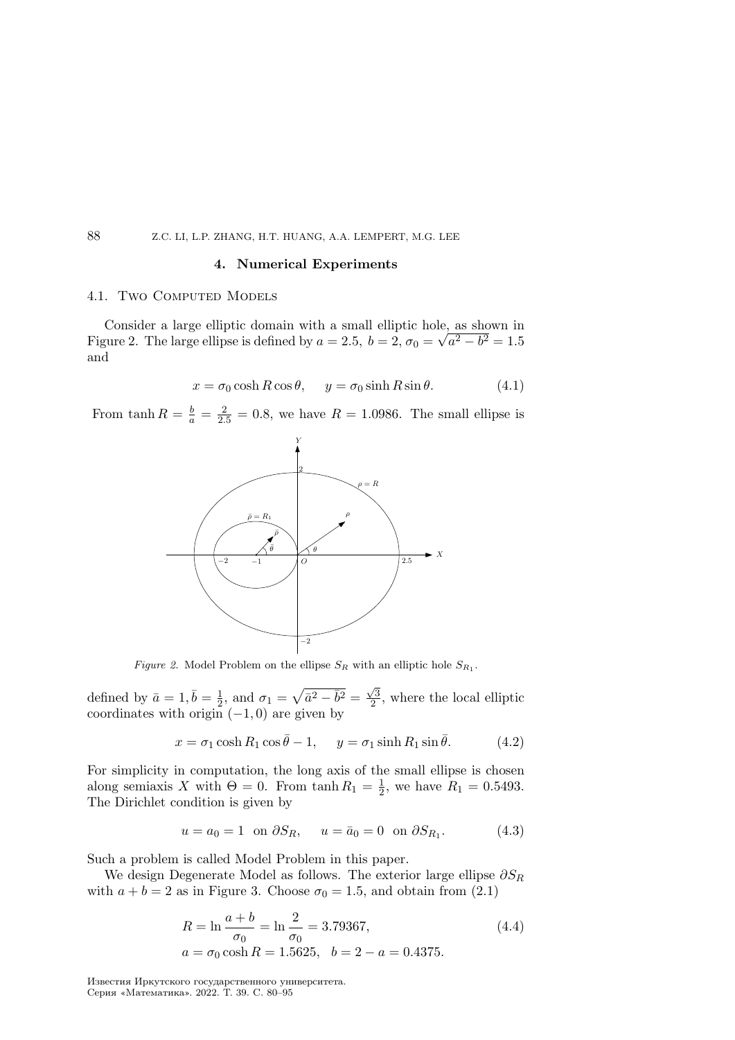#### 4. Numerical Experiments

#### 4.1. TWO COMPUTED MODELS

Consider a large elliptic domain with a small elliptic hole, as shown in Figure 2. The large ellipse is defined by  $a = 2.5$ ,  $b = 2$ ,  $\sigma_0 = \sqrt{a^2 - b^2} = 1.5$ and

$$
x = \sigma_0 \cosh R \cos \theta, \quad y = \sigma_0 \sinh R \sin \theta. \tag{4.1}
$$

From  $\tanh R = \frac{b}{a} = \frac{2}{2.5} = 0.8$ , we have  $R = 1.0986$ . The small ellipse is



Figure 2. Model Problem on the ellipse  $S_R$  with an elliptic hole  $S_{R_1}$ .

defined by  $\bar{a} = 1, \bar{b} = \frac{1}{2}$  $\frac{1}{2}$ , and  $\sigma_1 = \sqrt{\bar{a}^2 - \bar{b}^2} = \frac{\sqrt{3}}{2}$  $\frac{\sqrt{3}}{2}$ , where the local elliptic coordinates with origin  $(-1, 0)$  are given by

$$
x = \sigma_1 \cosh R_1 \cos \bar{\theta} - 1, \quad y = \sigma_1 \sinh R_1 \sin \bar{\theta}.
$$
 (4.2)

For simplicity in computation, the long axis of the small ellipse is chosen along semiaxis X with  $\Theta = 0$ . From tanh  $R_1 = \frac{1}{2}$  $\frac{1}{2}$ , we have  $R_1 = 0.5493$ . The Dirichlet condition is given by

$$
u = a_0 = 1
$$
 on  $\partial S_R$ ,  $u = \bar{a}_0 = 0$  on  $\partial S_{R_1}$ . (4.3)

Such a problem is called Model Problem in this paper.

We design Degenerate Model as follows. The exterior large ellipse  $\partial S_R$ with  $a + b = 2$  as in Figure 3. Choose  $\sigma_0 = 1.5$ , and obtain from (2.1)

$$
R = \ln \frac{a+b}{\sigma_0} = \ln \frac{2}{\sigma_0} = 3.79367,
$$
  
\n
$$
a = \sigma_0 \cosh R = 1.5625, \quad b = 2 - a = 0.4375.
$$
\n(4.4)

Известия Иркутского государственного университета. Серия «Математика». 2022. Т. 39. С. 80–95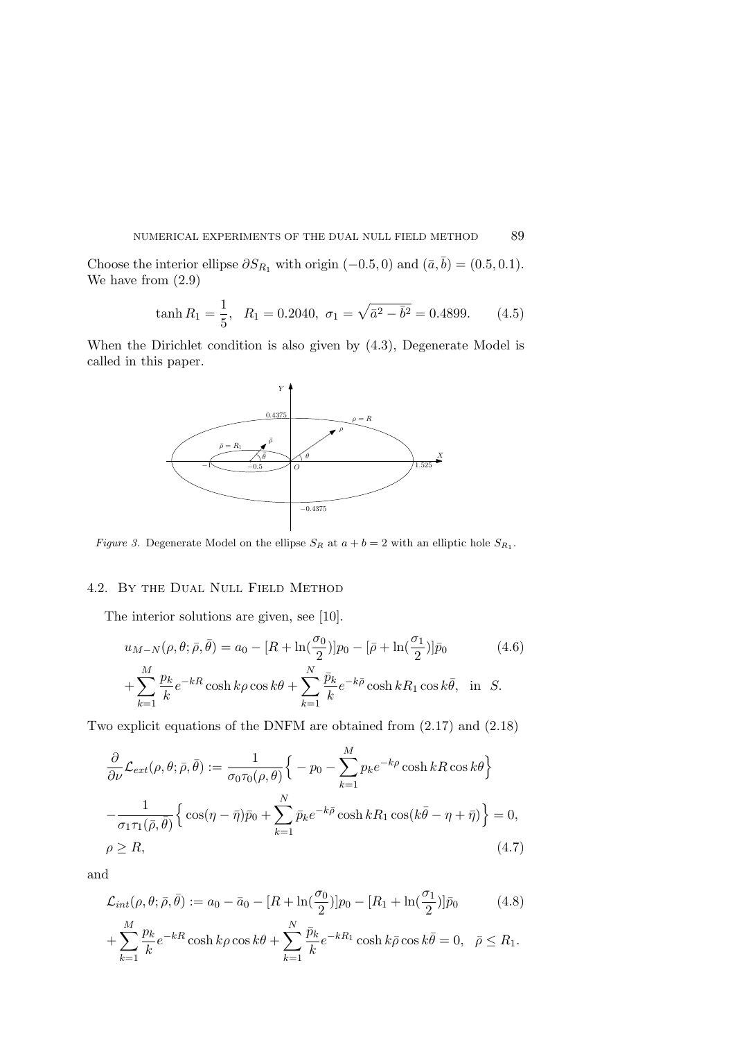Choose the interior ellipse  $\partial S_{R_1}$  with origin (−0.5, 0) and ( $\bar{a}, \bar{b}$ ) = (0.5, 0.1). We have from (2.9)

$$
\tanh R_1 = \frac{1}{5}, \quad R_1 = 0.2040, \quad \sigma_1 = \sqrt{\bar{a}^2 - \bar{b}^2} = 0.4899. \tag{4.5}
$$

When the Dirichlet condition is also given by (4.3), Degenerate Model is called in this paper.



Figure 3. Degenerate Model on the ellipse  $S_R$  at  $a + b = 2$  with an elliptic hole  $S_{R_1}$ .

# 4.2. By the Dual Null Field Method

The interior solutions are given, see [10].

$$
u_{M-N}(\rho, \theta; \bar{\rho}, \bar{\theta}) = a_0 - [R + \ln(\frac{\sigma_0}{2})]p_0 - [\bar{\rho} + \ln(\frac{\sigma_1}{2})]\bar{p}_0
$$
(4.6)

$$
+\sum_{k=1}^{M}\frac{p_k}{k}e^{-kR}\cosh k\rho\cos k\theta+\sum_{k=1}^{N}\frac{\bar{p}_k}{k}e^{-k\bar{\rho}}\cosh kR_1\cos k\bar{\theta}, \text{ in } S.
$$

Two explicit equations of the DNFM are obtained from (2.17) and (2.18)

$$
\frac{\partial}{\partial \nu} \mathcal{L}_{ext}(\rho, \theta; \bar{\rho}, \bar{\theta}) := \frac{1}{\sigma_0 \tau_0(\rho, \theta)} \Big\{ -p_0 - \sum_{k=1}^M p_k e^{-k\rho} \cosh kR \cos k\theta \Big\}
$$

$$
-\frac{1}{\sigma_1 \tau_1(\bar{\rho}, \bar{\theta})} \Big\{ \cos(\eta - \bar{\eta}) \bar{p}_0 + \sum_{k=1}^N \bar{p}_k e^{-k\bar{\rho}} \cosh kR_1 \cos(k\bar{\theta} - \eta + \bar{\eta}) \Big\} = 0,
$$

$$
\rho \ge R,
$$
(4.7)

and

$$
\mathcal{L}_{int}(\rho, \theta; \bar{\rho}, \bar{\theta}) := a_0 - \bar{a}_0 - [R + \ln(\frac{\sigma_0}{2})]p_0 - [R_1 + \ln(\frac{\sigma_1}{2})]\bar{p}_0 \tag{4.8}
$$

$$
+\sum_{k=1}^{M}\frac{p_k}{k}e^{-kR}\cosh k\rho\cos k\theta+\sum_{k=1}^{N}\frac{\bar{p}_k}{k}e^{-kR_1}\cosh k\bar{\rho}\cos k\bar{\theta}=0, \quad \bar{\rho}\leq R_1.
$$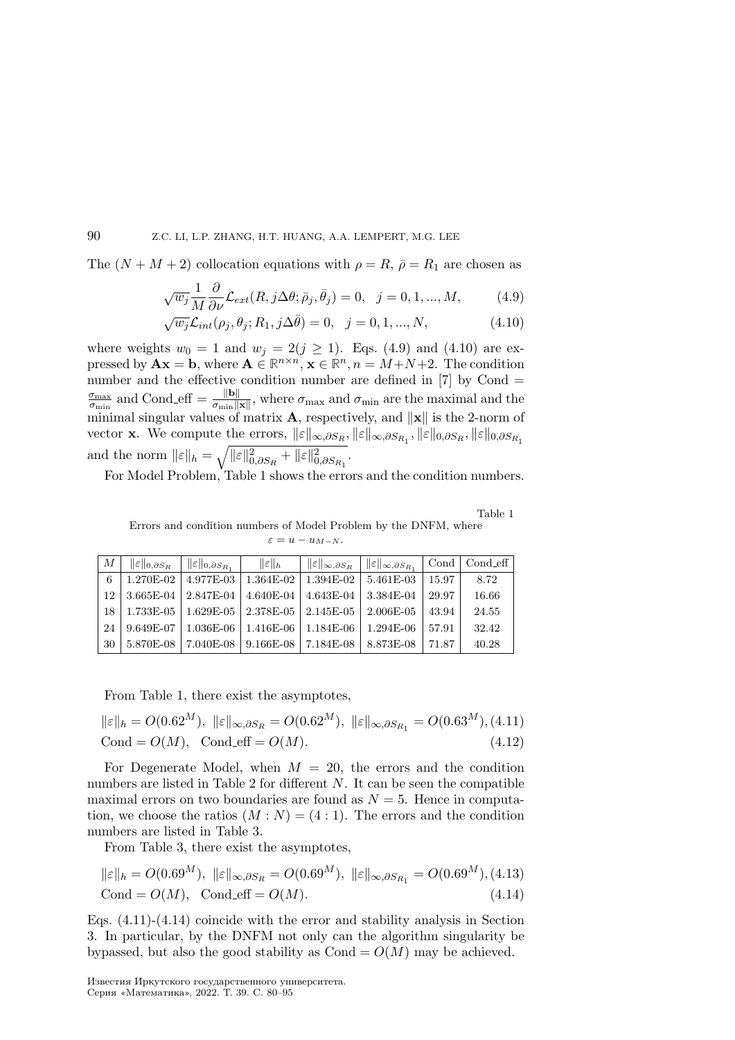The  $(N + M + 2)$  collocation equations with  $\rho = R$ ,  $\bar{\rho} = R_1$  are chosen as

$$
\sqrt{w_j} \frac{1}{M} \frac{\partial}{\partial \nu} \mathcal{L}_{ext}(R, j\Delta\theta; \bar{\rho}_j, \bar{\theta}_j) = 0, \quad j = 0, 1, ..., M,
$$
 (4.9)

$$
\sqrt{w_j} \mathcal{L}_{int}(\rho_j, \theta_j; R_1, j\Delta \bar{\theta}) = 0, \quad j = 0, 1, ..., N,
$$
\n(4.10)

where weights  $w_0 = 1$  and  $w_j = 2(j \geq 1)$ . Eqs. (4.9) and (4.10) are expressed by  $\mathbf{A}\mathbf{x} = \mathbf{b}$ , where  $\mathbf{A} \in \mathbb{R}^{n \times n}$ ,  $\mathbf{x} \in \mathbb{R}^n$ ,  $n = M + N + 2$ . The condition number and the effective condition number are defined in  $[7]$  by Cond  $=$  $\sigma_{\rm max}$  $\frac{\sigma_{\text{max}}}{\sigma_{\text{min}}}$  and Cond eff  $=\frac{\|\mathbf{b}\|}{\sigma_{\text{min}}\|\mathbf{x}\|}$ , where  $\sigma_{\text{max}}$  and  $\sigma_{\text{min}}$  are the maximal and the minimal singular values of matrix  $\mathbf{A}$ , respectively, and  $\|\mathbf{x}\|$  is the 2-norm of vector **x**. We compute the errors,  $||\varepsilon||_{\infty,\partial S_R}$ ,  $||\varepsilon||_{\infty,\partial S_{R_1}}$ ,  $||\varepsilon||_{0,\partial S_R}$ ,  $||\varepsilon||_{0,\partial S_{R_1}}$ and the norm  $||\varepsilon||_h = \sqrt{||\varepsilon||_{0,\partial S_R}^2 + ||\varepsilon||_{0,\partial S_{R_1}}^2}$ .

For Model Problem, Table 1 shows the errors and the condition numbers.

Table 1 Errors and condition numbers of Model Problem by the DNFM, where  $\varepsilon = u - u_{M-N}.$ 

| М    | $\ \varepsilon\ _{0,\partial S_R}$ | $\  \cdot \  \varepsilon \ _{0,\partial S_{R_1}}$                   | $\ \varepsilon\ _h$     | $\  \cdot \  \varepsilon \ _{\infty,\partial S_R} \  \cdot \  \varepsilon \ _{\infty,\partial S_{R_1}}$ |                                                           |       | Cond $\vert$ Cond eff |
|------|------------------------------------|---------------------------------------------------------------------|-------------------------|---------------------------------------------------------------------------------------------------------|-----------------------------------------------------------|-------|-----------------------|
| 6    | 1.270E-02                          |                                                                     | $4.977E-03$   1.364E-02 |                                                                                                         | $1.394E-02$   5.461E-03                                   | 15.97 | 8.72                  |
| 12   |                                    |                                                                     |                         |                                                                                                         | 3.665E-04   2.847E-04   4.640E-04   4.643E-04   3.384E-04 | 29.97 | 16.66                 |
| 18 I |                                    | $1.733E-05$   $1.629E-05$   $2.378E-05$   $2.145E-05$   $2.006E-05$ |                         |                                                                                                         |                                                           | 43.94 | 24.55                 |
| 24   | 9.649E-07                          | 1.036E-06   1.416E-06   1.184E-06                                   |                         |                                                                                                         | $1.294E-06$                                               | 57.91 | 32.42                 |
| 30   |                                    | $5.870E-08$   $7.040E-08$   $9.166E-08$   $7.184E-08$               |                         |                                                                                                         | $8.873E-08$                                               | 71.87 | 40.28                 |

From Table 1, there exist the asymptotes,

$$
\|\varepsilon\|_{h} = O(0.62^{M}), \ \|\varepsilon\|_{\infty, \partial S_R} = O(0.62^{M}), \ \|\varepsilon\|_{\infty, \partial S_{R_1}} = O(0.63^{M}), (4.11)
$$
  
Cond =  $O(M)$ , Cond-eff =  $O(M)$ . (4.12)

For Degenerate Model, when  $M = 20$ , the errors and the condition numbers are listed in Table 2 for different  $N$ . It can be seen the compatible maximal errors on two boundaries are found as  $N = 5$ . Hence in computation, we choose the ratios  $(M : N) = (4 : 1)$ . The errors and the condition numbers are listed in Table 3.

From Table 3, there exist the asymptotes,

$$
\|\varepsilon\|_{h} = O(0.69^{M}), \ \|\varepsilon\|_{\infty, \partial S_R} = O(0.69^{M}), \ \|\varepsilon\|_{\infty, \partial S_{R_1}} = O(0.69^{M}), (4.13)
$$
  
Cond =  $O(M)$ , Cond-eff =  $O(M)$ . (4.14)

Eqs.  $(4.11)-(4.14)$  coincide with the error and stability analysis in Section 3. In particular, by the DNFM not only can the algorithm singularity be bypassed, but also the good stability as  $Cond = O(M)$  may be achieved.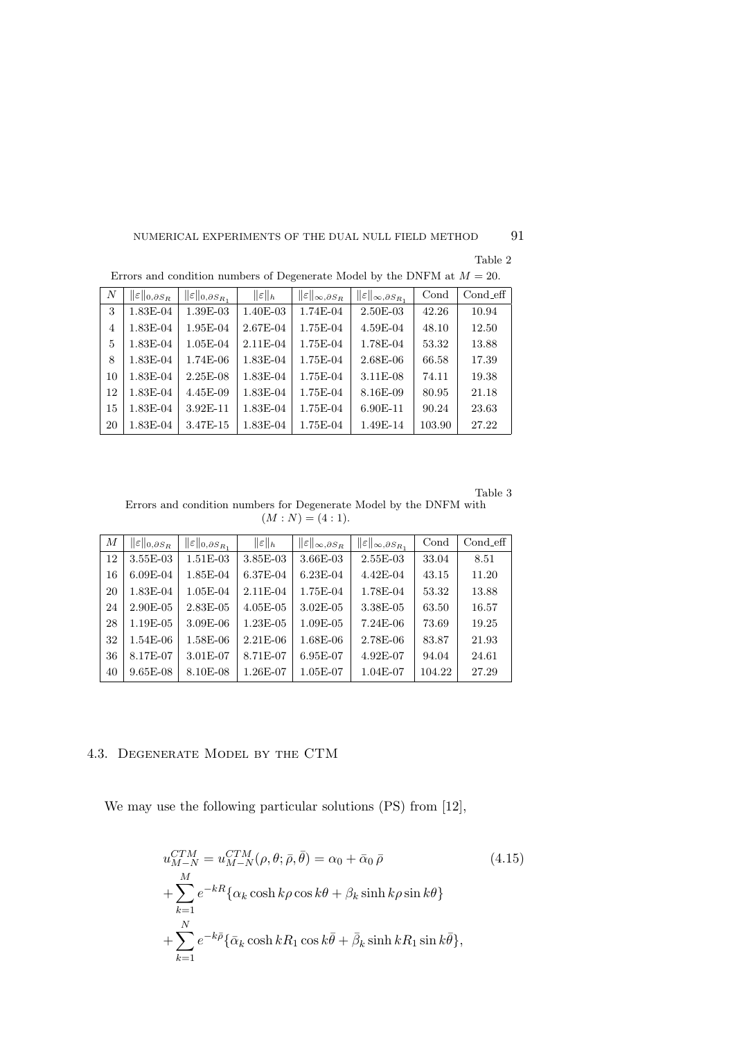Table 2

| $\boldsymbol{N}$ | $\ \varepsilon\ _{0,\partial S_R}$ | $\ \varepsilon\ _{0,\partial S_{R_1}}$ | $\ \varepsilon\ _h$ | $\ \varepsilon\ _{\infty,\partial S_R}$ | $  \varepsilon  _{\infty,\partial S_{R_1}}$ | Cond   | $Cond\_eff$ |
|------------------|------------------------------------|----------------------------------------|---------------------|-----------------------------------------|---------------------------------------------|--------|-------------|
| 3                | 1.83E-04                           | 1.39E-03                               | 1.40E-03            | 1.74E-04                                | 2.50E-03                                    | 42.26  | 10.94       |
| 4                | 1.83E-04                           | 1.95E-04                               | 2.67E-04            | $1.75E-04$                              | 4.59E-04                                    | 48.10  | 12.50       |
| 5                | 1.83E-04                           | 1.05E-04                               | 2.11E-04            | 1.75E-04                                | 1.78E-04                                    | 53.32  | 13.88       |
| 8                | 1.83E-04                           | 1.74E-06                               | 1.83E-04            | 1.75E-04                                | 2.68E-06                                    | 66.58  | 17.39       |
| 10               | 1.83E-04                           | 2.25E-08                               | 1.83E-04            | 1.75E-04                                | 3.11E-08                                    | 74.11  | 19.38       |
| 12               | 1.83E-04                           | 4.45E-09                               | 1.83E-04            | 1.75E-04                                | 8.16E-09                                    | 80.95  | 21.18       |
| 15               | 1.83E-04                           | 3.92E-11                               | 1.83E-04            | 1.75E-04                                | 6.90E-11                                    | 90.24  | 23.63       |
| 20               | 1.83E-04                           | 3.47E-15                               | 1.83E-04            | 1.75E-04                                | 1.49E-14                                    | 103.90 | 27.22       |

Errors and condition numbers of Degenerate Model by the DNFM at  $M = 20$ .

Table 3

Errors and condition numbers for Degenerate Model by the DNFM with  $(M : N) = (4 : 1).$ 

| М  | $\ \varepsilon\ _{0,\partial S_R}$ | $  \varepsilon  _{0,\partial S_{R_1}}$ | $\ \varepsilon\ _h$ | $\ \varepsilon\ _{\infty,\partial S_R}$ | $\ \varepsilon\ _{\infty,\partial S_{R_1}}$ | Cond   | Cond eff |
|----|------------------------------------|----------------------------------------|---------------------|-----------------------------------------|---------------------------------------------|--------|----------|
| 12 | 3.55E-03                           | 1.51E-03                               | 3.85E-03            | 3.66E-03                                | $2.55E-03$                                  | 33.04  | 8.51     |
| 16 | $6.09E-04$                         | 1.85E-04                               | 6.37E-04            | $6.23E-04$                              | $4.42E - 04$                                | 43.15  | 11.20    |
| 20 | 1.83E-04                           | 1.05E-04                               | 2.11E-04            | 1.75E-04                                | 1.78E-04                                    | 53.32  | 13.88    |
| 24 | $2.90E - 05$                       | 2.83E-05                               | $4.05E-05$          | $3.02E - 05$                            | 3.38E-05                                    | 63.50  | 16.57    |
| 28 | 1.19E-05                           | 3.09E-06                               | 1.23E-05            | 1.09E-05                                | $7.24E-06$                                  | 73.69  | 19.25    |
| 32 | $1.54E-06$                         | 1.58E-06                               | $2.21E-06$          | 1.68E-06                                | 2.78E-06                                    | 83.87  | 21.93    |
| 36 | 8.17E-07                           | 3.01E-07                               | 8.71E-07            | 6.95E-07                                | 4.92E-07                                    | 94.04  | 24.61    |
| 40 | $9.65E-08$                         | 8.10E-08                               | 1.26E-07            | 1.05E-07                                | 1.04E-07                                    | 104.22 | 27.29    |

# 4.3. Degenerate Model by the CTM

We may use the following particular solutions (PS) from [12],

$$
u_{M-N}^{CTM} = u_{M-N}^{CTM}(\rho, \theta; \bar{\rho}, \bar{\theta}) = \alpha_0 + \bar{\alpha}_0 \bar{\rho}
$$
  
+ 
$$
\sum_{k=1}^{M} e^{-kR} \{ \alpha_k \cosh k\rho \cos k\theta + \beta_k \sinh k\rho \sin k\theta \}
$$
  
+ 
$$
\sum_{k=1}^{N} e^{-k\bar{\rho}} \{ \bar{\alpha}_k \cosh kR_1 \cos k\bar{\theta} + \bar{\beta}_k \sinh kR_1 \sin k\bar{\theta} \},
$$
 (4.15)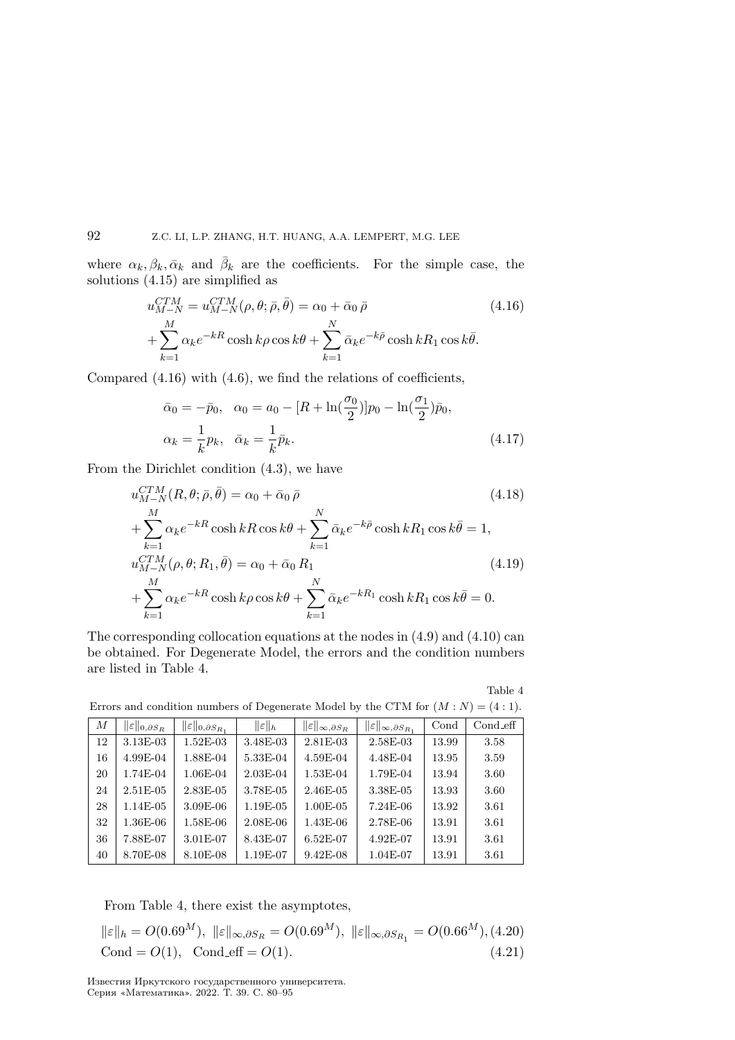where  $\alpha_k, \beta_k, \bar{\alpha}_k$  and  $\bar{\beta}_k$  are the coefficients. For the simple case, the solutions (4.15) are simplified as

$$
u_{M-N}^{CTM} = u_{M-N}^{CTM}(\rho, \theta; \bar{\rho}, \bar{\theta}) = \alpha_0 + \bar{\alpha}_0 \bar{\rho}
$$
  
+ 
$$
\sum_{k=1}^{M} \alpha_k e^{-kR} \cosh k\rho \cos k\theta + \sum_{k=1}^{N} \bar{\alpha}_k e^{-k\bar{\rho}} \cosh kR_1 \cos k\bar{\theta}.
$$
 (4.16)

Compared  $(4.16)$  with  $(4.6)$ , we find the relations of coefficients,

$$
\bar{\alpha}_0 = -\bar{p}_0, \quad \alpha_0 = a_0 - [R + \ln(\frac{\sigma_0}{2})]p_0 - \ln(\frac{\sigma_1}{2})\bar{p}_0, \n\alpha_k = \frac{1}{k}p_k, \quad \bar{\alpha}_k = \frac{1}{k}\bar{p}_k.
$$
\n(4.17)

From the Dirichlet condition (4.3), we have

$$
u_{M-N}^{CTM}(R, \theta; \bar{\rho}, \bar{\theta}) = \alpha_0 + \bar{\alpha}_0 \bar{\rho}
$$
\n
$$
+ \sum_{k=1}^{M} \alpha_k e^{-kR} \cosh kR \cos k\theta + \sum_{k=1}^{N} \bar{\alpha}_k e^{-k\bar{\rho}} \cosh kR_1 \cos k\bar{\theta} = 1,
$$
\n
$$
u_{M-N}^{CTM}(\rho, \theta; R_1, \bar{\theta}) = \alpha_0 + \bar{\alpha}_0 R_1
$$
\n
$$
+ \sum_{k=1}^{M} \alpha_k e^{-kR} \cosh k\rho \cos k\theta + \sum_{k=1}^{N} \bar{\alpha}_k e^{-kR_1} \cosh kR_1 \cos k\bar{\theta} = 0.
$$
\n(4.19)

The corresponding collocation equations at the nodes in (4.9) and (4.10) can be obtained. For Degenerate Model, the errors and the condition numbers are listed in Table 4.

Table 4

| $\boldsymbol{M}$ | $\ \varepsilon\ _{0,\partial S_R}$ | $\ \varepsilon\ _{0,\partial S_{R_1}}$ | $\ \varepsilon\ _h$ | $\ \varepsilon\ _{\infty,\partial S_R}$ | $\ \varepsilon\ _{\infty,\partial S_{R_1}}$ | Cond  | $Cond\_eff$ |
|------------------|------------------------------------|----------------------------------------|---------------------|-----------------------------------------|---------------------------------------------|-------|-------------|
| 12               | 3.13E-03                           | $1.52E-03$                             | 3.48E-03            | $2.81E - 03$                            | 2.58E-03                                    | 13.99 | 3.58        |
| 16               | 4.99E-04                           | 1.88E-04                               | 5.33E-04            | 4.59E-04                                | 4.48E-04                                    | 13.95 | 3.59        |
| 20               | 1.74E-04                           | 1.06E-04                               | $2.03E-04$          | 1.53E-04                                | 1.79E-04                                    | 13.94 | 3.60        |
| 24               | $2.51E-05$                         | 2.83E-05                               | 3.78E-05            | 2.46E-05                                | 3.38E-05                                    | 13.93 | 3.60        |
| 28               | 1.14E-05                           | 3.09E-06                               | 1.19E-05            | $1.00E - 05$                            | 7.24E-06                                    | 13.92 | 3.61        |
| 32               | 1.36E-06                           | 1.58E-06                               | $2.08E - 06$        | 1.43E-06                                | 2.78E-06                                    | 13.91 | 3.61        |
| 36               | 7.88E-07                           | 3.01E-07                               | 8.43E-07            | $6.52E-07$                              | 4.92E-07                                    | 13.91 | 3.61        |
| 40               | 8.70E-08                           | 8.10E-08                               | 1.19E-07            | $9.42E - 08$                            | 1.04E-07                                    | 13.91 | 3.61        |

Errors and condition numbers of Degenerate Model by the CTM for  $(M: N) = (4:1)$ .

From Table 4, there exist the asymptotes,

$$
\|\varepsilon\|_{h} = O(0.69^{M}), \|\varepsilon\|_{\infty, \partial S_R} = O(0.69^{M}), \|\varepsilon\|_{\infty, \partial S_{R_1}} = O(0.66^{M}), (4.20)
$$
  
Cond = O(1), Cond-eff = O(1). (4.21)

Известия Иркутского государственного университета. Серия «Математика». 2022. Т. 39. С. 80–95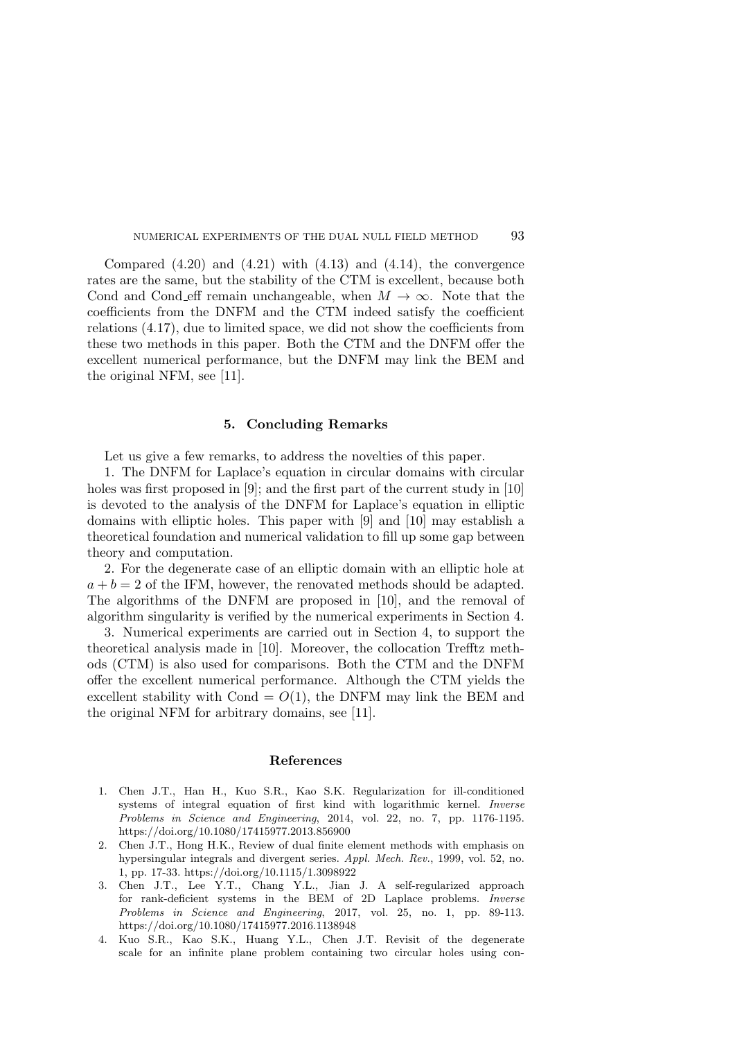Compared  $(4.20)$  and  $(4.21)$  with  $(4.13)$  and  $(4.14)$ , the convergence rates are the same, but the stability of the CTM is excellent, because both Cond and Cond eff remain unchangeable, when  $M \to \infty$ . Note that the coefficients from the DNFM and the CTM indeed satisfy the coefficient relations (4.17), due to limited space, we did not show the coefficients from these two methods in this paper. Both the CTM and the DNFM offer the excellent numerical performance, but the DNFM may link the BEM and the original NFM, see [11].

#### 5. Concluding Remarks

Let us give a few remarks, to address the novel ties of this paper.

1. The DNFM for Laplace's equation in circular domains with circular holes was first proposed in [9]; and the first part of the current study in [10] is devoted to the analysis of the DNFM for Laplace's equation in elliptic domains with elliptic holes. This paper with [9] and [10] may establish a theoretical foundation and numerical validation to fill up some gap between theory and computation.

2. For the degenerate case of an elliptic domain with an elliptic hole at  $a + b = 2$  of the IFM, however, the renovated methods should be adapted. The algorithms of the DNFM are proposed in [10], and the removal of algorithm singularity is verified by the numerical experiments in Section 4.

3. Numerical experiments are carried out in Section 4, to support the theoretical analysis made in [10]. Moreover, the collocation Trefftz methods (CTM) is also used for comparisons. Both the CTM and the DNFM offer the excellent numerical performance. Although the CTM yields the excellent stability with Cond =  $O(1)$ , the DNFM may link the BEM and the original NFM for arbitrary domains, see [11].

#### References

- 1. Chen J.T., Han H., Kuo S.R., Kao S.K. Regularization for ill-conditioned systems of integral equation of first kind with logarithmic kernel. Inverse Problems in Science and Engineering, 2014, vol. 22, no. 7, pp. 1176-1195. https://doi.org/10.1080/17415977.2013.856900
- 2. Chen J.T., Hong H.K., Review of dual finite element methods with emphasis on hypersingular integrals and divergent series. Appl. Mech. Rev., 1999, vol. 52, no. 1, pp. 17-33. https://doi.org/10.1115/1.3098922
- 3. Chen J.T., Lee Y.T., Chang Y.L., Jian J. A self-regularized approach for rank-deficient systems in the BEM of 2D Laplace problems. Inverse Problems in Science and Engineering, 2017, vol. 25, no. 1, pp. 89-113. https://doi.org/10.1080/17415977.2016.1138948
- 4. Kuo S.R., Kao S.K., Huang Y.L., Chen J.T. Revisit of the degenerate scale for an infinite plane problem containing two circular holes using con-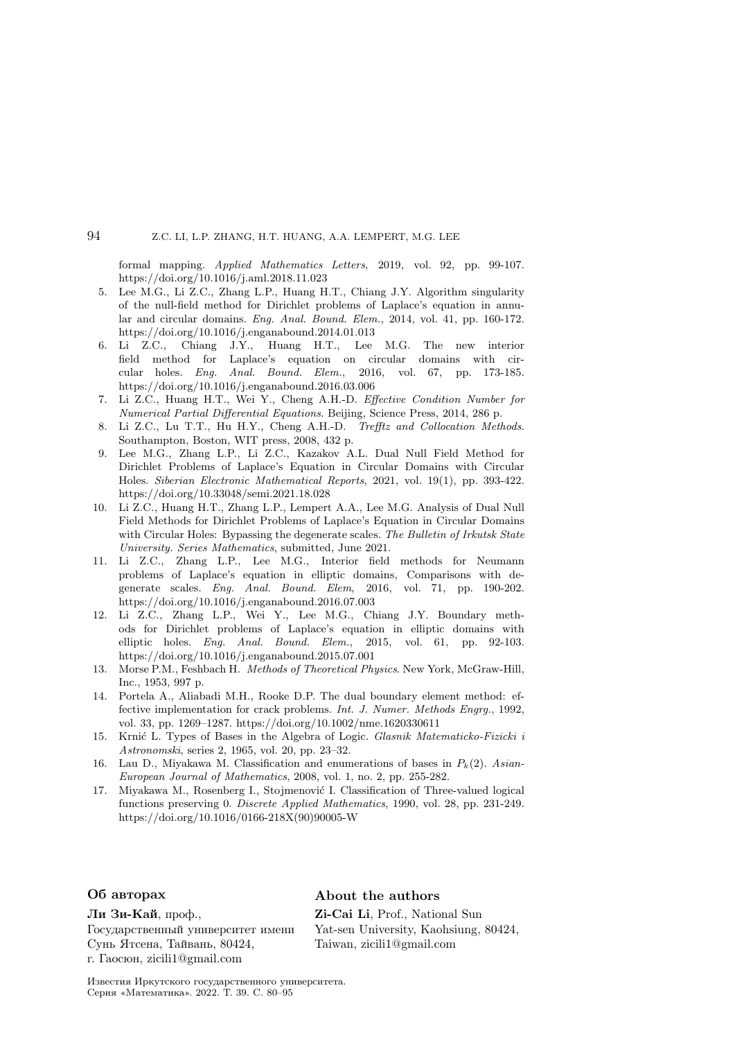formal mapping. Applied Mathematics Letters, 2019, vol. 92, pp. 99-107. https://doi.org/10.1016/j.aml.2018.11.023

- 5. Lee M.G., Li Z.C., Zhang L.P., Huang H.T., Chiang J.Y. Algorithm singularity of the null-field method for Dirichlet problems of Laplace's equation in annular and circular domains. Eng. Anal. Bound. Elem., 2014, vol. 41, pp. 160-172. https://doi.org/10.1016/j.enganabound.2014.01.013
- 6. Li Z.C., Chiang J.Y., Huang H.T., Lee M.G. The new interior field method for Laplace's equation on circular domains with circular holes. Eng. Anal. Bound. Elem., 2016, vol. 67, pp. 173-185. https://doi.org/10.1016/j.enganabound.2016.03.006
- 7. Li Z.C., Huang H.T., Wei Y., Cheng A.H.-D. Effective Condition Number for Numerical Partial Differential Equations. Beijing, Science Press, 2014, 286 p.
- 8. Li Z.C., Lu T.T., Hu H.Y., Cheng A.H.-D. Trefftz and Collocation Methods. Southampton, Boston, WIT press, 2008, 432 p.
- 9. Lee M.G., Zhang L.P., Li Z.C., Kazakov A.L. Dual Null Field Method for Dirichlet Problems of Laplace's Equation in Circular Domains with Circular Holes. Siberian Electronic Mathematical Reports, 2021, vol. 19(1), pp. 393-422. https://doi.org/10.33048/semi.2021.18.028
- 10. Li Z.C., Huang H.T., Zhang L.P., Lempert A.A., Lee M.G. Analysis of Dual Null Field Methods for Dirichlet Problems of Laplace's Equation in Circular Domains with Circular Holes: Bypassing the degenerate scales. The Bulletin of Irkutsk State University. Series Mathematics, submitted, June 2021.
- 11. Li Z.C., Zhang L.P., Lee M.G., Interior field methods for Neumann problems of Laplace's equation in elliptic domains, Comparisons with degenerate scales. Eng. Anal. Bound. Elem, 2016, vol. 71, pp. 190-202. https://doi.org/10.1016/j.enganabound.2016.07.003
- 12. Li Z.C., Zhang L.P., Wei Y., Lee M.G., Chiang J.Y. Boundary methods for Dirichlet problems of Laplace's equation in elliptic domains with elliptic holes. Eng. Anal. Bound. Elem., 2015, vol. 61, pp. 92-103. https://doi.org/10.1016/j.enganabound.2015.07.001
- 13. Morse P.M., Feshbach H. Methods of Theoretical Physics. New York, McGraw-Hill, Inc., 1953, 997 p.
- 14. Portela A., Aliabadi M.H., Rooke D.P. The dual boundary element method: effective implementation for crack problems. Int. J. Numer. Methods Engrg., 1992, vol. 33, pp. 1269–1287. https://doi.org/10.1002/nme.1620330611
- 15. Krnić L. Types of Bases in the Algebra of Logic. Glasnik Matematicko-Fizicki i Astronomski, series 2, 1965, vol. 20, pp. 23–32.
- 16. Lau D., Miyakawa M. Classification and enumerations of bases in  $P_k(2)$ . Asian-European Journal of Mathematics, 2008, vol. 1, no. 2, pp. 255-282.
- 17. Miyakawa M., Rosenberg I., Stojmenović I. Classification of Three-valued logical functions preserving 0. Discrete Applied Mathematics, 1990, vol. 28, pp. 231-249. https://doi.org/10.1016/0166-218X(90)90005-W

#### Ли Зи-Кай, проф.,

Государственный университет имени Сунь Ятсена, Тайвань, 80424, г. Гаосюн, zicili1@gmail.com

### Об авторах About the authors

Zi-Cai Li, Prof., National Sun Yat-sen University, Kaohsiung, 80424, Taiwan, zicili1@gmail.com

Известия Иркутского государственного университета. Серия «Математика». 2022. Т. 39. С. 80–95